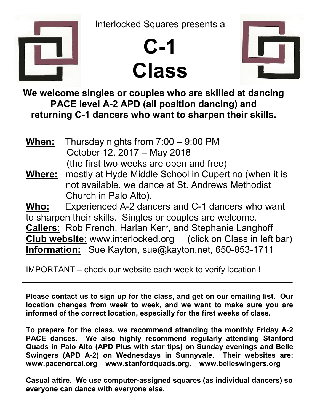

Interlocked Squares presents a





We welcome singles or couples who are skilled at dancing PACE level A-2 APD (all position dancing) and returning C-1 dancers who want to sharpen their skills.

When: Thursday nights from 7:00 – 9:00 PM October 12, 2017 – May 2018 (the first two weeks are open and free) Where: mostly at Hyde Middle School in Cupertino (when it is not available, we dance at St. Andrews Methodist Church in Palo Alto). Who: Experienced A-2 dancers and C-1 dancers who want to sharpen their skills. Singles or couples are welcome. Callers: Rob French, Harlan Kerr, and Stephanie Langhoff Club website: www.interlocked.org (click on Class in left bar) Information: Sue Kayton, sue@kayton.net, 650-853-1711

IMPORTANT – check our website each week to verify location !

Please contact us to sign up for the class, and get on our emailing list. Our location changes from week to week, and we want to make sure you are informed of the correct location, especially for the first weeks of class.

To prepare for the class, we recommend attending the monthly Friday A-2 PACE dances. We also highly recommend regularly attending Stanford Quads in Palo Alto (APD Plus with star tips) on Sunday evenings and Belle Swingers (APD A-2) on Wednesdays in Sunnyvale. Their websites are: www.pacenorcal.org www.stanfordquads.org. www.belleswingers.org

Casual attire. We use computer-assigned squares (as individual dancers) so everyone can dance with everyone else.